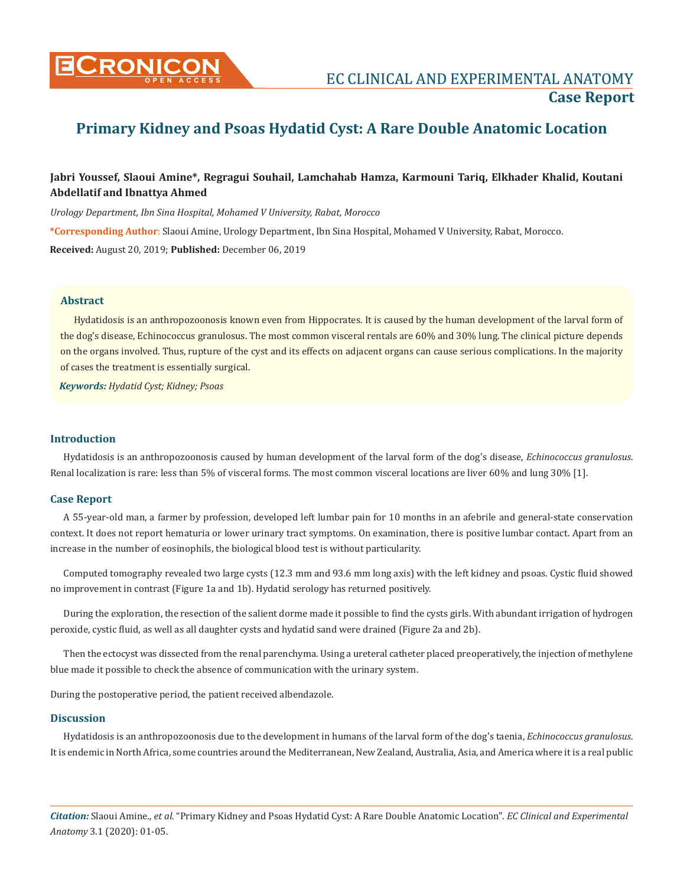

# **Primary Kidney and Psoas Hydatid Cyst: A Rare Double Anatomic Location**

# **Jabri Youssef, Slaoui Amine\*, Regragui Souhail, Lamchahab Hamza, Karmouni Tariq, Elkhader Khalid, Koutani Abdellatif and Ibnattya Ahmed**

*Urology Department, Ibn Sina Hospital, Mohamed V University, Rabat, Morocco* 

**\*Corresponding Author**: Slaoui Amine, Urology Department, Ibn Sina Hospital, Mohamed V University, Rabat, Morocco. **Received:** August 20, 2019; **Published:** December 06, 2019

## **Abstract**

Hydatidosis is an anthropozoonosis known even from Hippocrates. It is caused by the human development of the larval form of the dog's disease, Echinococcus granulosus. The most common visceral rentals are 60% and 30% lung. The clinical picture depends on the organs involved. Thus, rupture of the cyst and its effects on adjacent organs can cause serious complications. In the majority of cases the treatment is essentially surgical.

*Keywords: Hydatid Cyst; Kidney; Psoas*

### **Introduction**

Hydatidosis is an anthropozoonosis caused by human development of the larval form of the dog's disease, *Echinococcus granulosus*. Renal localization is rare: less than 5% of visceral forms. The most common visceral locations are liver 60% and lung 30% [1].

#### **Case Report**

A 55-year-old man, a farmer by profession, developed left lumbar pain for 10 months in an afebrile and general-state conservation context. It does not report hematuria or lower urinary tract symptoms. On examination, there is positive lumbar contact. Apart from an increase in the number of eosinophils, the biological blood test is without particularity.

Computed tomography revealed two large cysts (12.3 mm and 93.6 mm long axis) with the left kidney and psoas. Cystic fluid showed no improvement in contrast (Figure 1a and 1b). Hydatid serology has returned positively.

During the exploration, the resection of the salient dorme made it possible to find the cysts girls. With abundant irrigation of hydrogen peroxide, cystic fluid, as well as all daughter cysts and hydatid sand were drained (Figure 2a and 2b).

Then the ectocyst was dissected from the renal parenchyma. Using a ureteral catheter placed preoperatively, the injection of methylene blue made it possible to check the absence of communication with the urinary system.

During the postoperative period, the patient received albendazole.

# **Discussion**

Hydatidosis is an anthropozoonosis due to the development in humans of the larval form of the dog's taenia, *Echinococcus granulosus*. It is endemic in North Africa, some countries around the Mediterranean, New Zealand, Australia, Asia, and America where it is a real public

*Citation:* Slaoui Amine*., et al.* "Primary Kidney and Psoas Hydatid Cyst: A Rare Double Anatomic Location". *EC Clinical and Experimental Anatomy* 3.1 (2020): 01-05.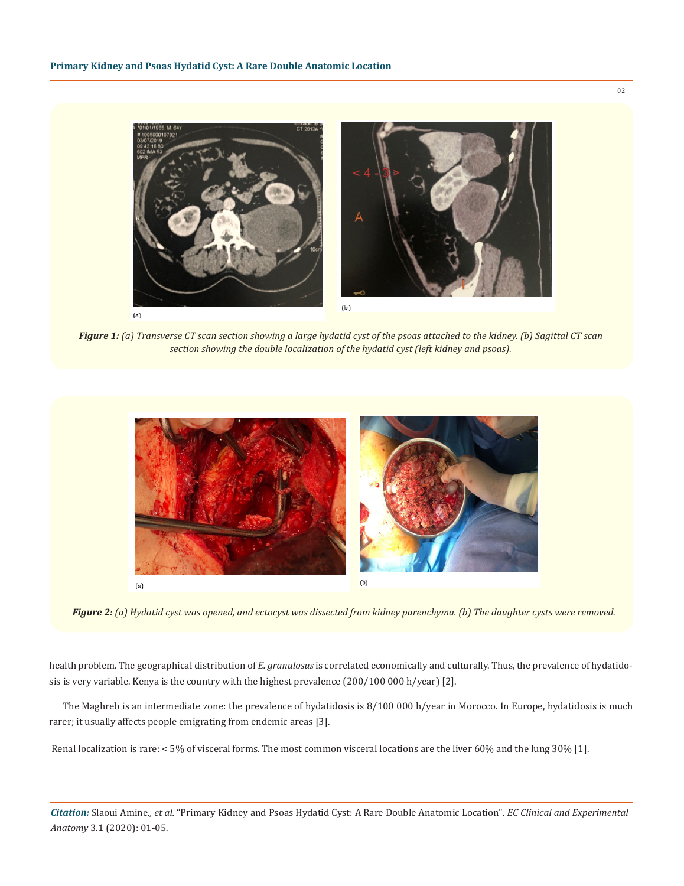

*Figure 1: (a) Transverse CT scan section showing a large hydatid cyst of the psoas attached to the kidney. (b) Sagittal CT scan section showing the double localization of the hydatid cyst (left kidney and psoas).*



*Figure 2: (a) Hydatid cyst was opened, and ectocyst was dissected from kidney parenchyma. (b) The daughter cysts were removed.*

health problem. The geographical distribution of *E. granulosus* is correlated economically and culturally. Thus, the prevalence of hydatidosis is very variable. Kenya is the country with the highest prevalence (200/100 000 h/year) [2].

The Maghreb is an intermediate zone: the prevalence of hydatidosis is 8/100 000 h/year in Morocco. In Europe, hydatidosis is much rarer; it usually affects people emigrating from endemic areas [3].

Renal localization is rare: < 5% of visceral forms. The most common visceral locations are the liver 60% and the lung 30% [1].

*Citation:* Slaoui Amine*., et al.* "Primary Kidney and Psoas Hydatid Cyst: A Rare Double Anatomic Location". *EC Clinical and Experimental Anatomy* 3.1 (2020): 01-05.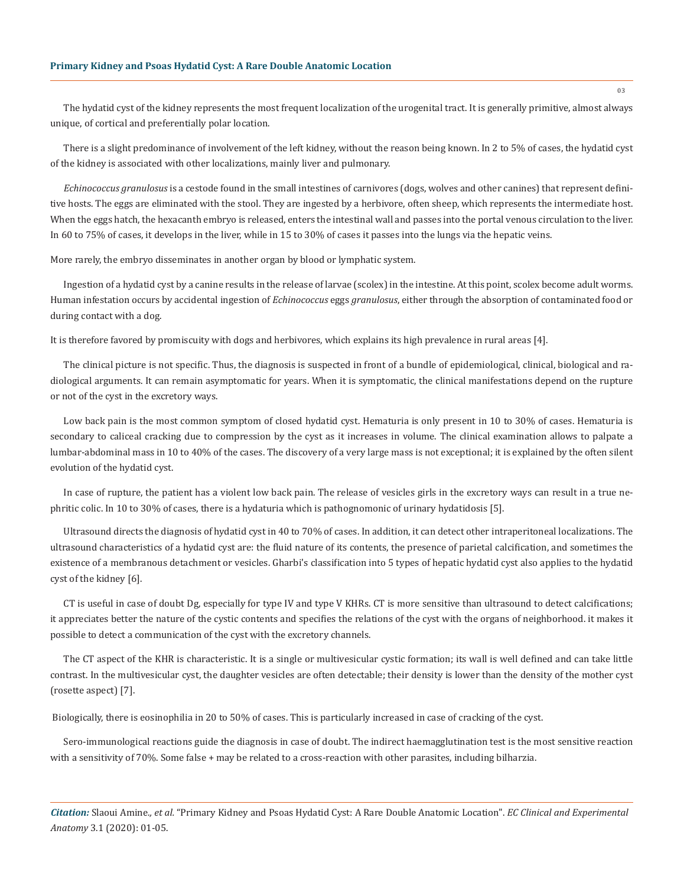The hydatid cyst of the kidney represents the most frequent localization of the urogenital tract. It is generally primitive, almost always unique, of cortical and preferentially polar location.

There is a slight predominance of involvement of the left kidney, without the reason being known. In 2 to 5% of cases, the hydatid cyst of the kidney is associated with other localizations, mainly liver and pulmonary.

*Echinococcus granulosus* is a cestode found in the small intestines of carnivores (dogs, wolves and other canines) that represent definitive hosts. The eggs are eliminated with the stool. They are ingested by a herbivore, often sheep, which represents the intermediate host. When the eggs hatch, the hexacanth embryo is released, enters the intestinal wall and passes into the portal venous circulation to the liver. In 60 to 75% of cases, it develops in the liver, while in 15 to 30% of cases it passes into the lungs via the hepatic veins.

More rarely, the embryo disseminates in another organ by blood or lymphatic system.

Ingestion of a hydatid cyst by a canine results in the release of larvae (scolex) in the intestine. At this point, scolex become adult worms. Human infestation occurs by accidental ingestion of *Echinococcus* eggs *granulosus*, either through the absorption of contaminated food or during contact with a dog.

It is therefore favored by promiscuity with dogs and herbivores, which explains its high prevalence in rural areas [4].

The clinical picture is not specific. Thus, the diagnosis is suspected in front of a bundle of epidemiological, clinical, biological and radiological arguments. It can remain asymptomatic for years. When it is symptomatic, the clinical manifestations depend on the rupture or not of the cyst in the excretory ways.

Low back pain is the most common symptom of closed hydatid cyst. Hematuria is only present in 10 to 30% of cases. Hematuria is secondary to caliceal cracking due to compression by the cyst as it increases in volume. The clinical examination allows to palpate a lumbar-abdominal mass in 10 to 40% of the cases. The discovery of a very large mass is not exceptional; it is explained by the often silent evolution of the hydatid cyst.

In case of rupture, the patient has a violent low back pain. The release of vesicles girls in the excretory ways can result in a true nephritic colic. In 10 to 30% of cases, there is a hydaturia which is pathognomonic of urinary hydatidosis [5].

Ultrasound directs the diagnosis of hydatid cyst in 40 to 70% of cases. In addition, it can detect other intraperitoneal localizations. The ultrasound characteristics of a hydatid cyst are: the fluid nature of its contents, the presence of parietal calcification, and sometimes the existence of a membranous detachment or vesicles. Gharbi's classification into 5 types of hepatic hydatid cyst also applies to the hydatid cyst of the kidney [6].

CT is useful in case of doubt Dg, especially for type IV and type V KHRs. CT is more sensitive than ultrasound to detect calcifications; it appreciates better the nature of the cystic contents and specifies the relations of the cyst with the organs of neighborhood. it makes it possible to detect a communication of the cyst with the excretory channels.

The CT aspect of the KHR is characteristic. It is a single or multivesicular cystic formation; its wall is well defined and can take little contrast. In the multivesicular cyst, the daughter vesicles are often detectable; their density is lower than the density of the mother cyst (rosette aspect) [7].

Biologically, there is eosinophilia in 20 to 50% of cases. This is particularly increased in case of cracking of the cyst.

Sero-immunological reactions guide the diagnosis in case of doubt. The indirect haemagglutination test is the most sensitive reaction with a sensitivity of 70%. Some false + may be related to a cross-reaction with other parasites, including bilharzia.

*Citation:* Slaoui Amine*., et al.* "Primary Kidney and Psoas Hydatid Cyst: A Rare Double Anatomic Location". *EC Clinical and Experimental Anatomy* 3.1 (2020): 01-05.

03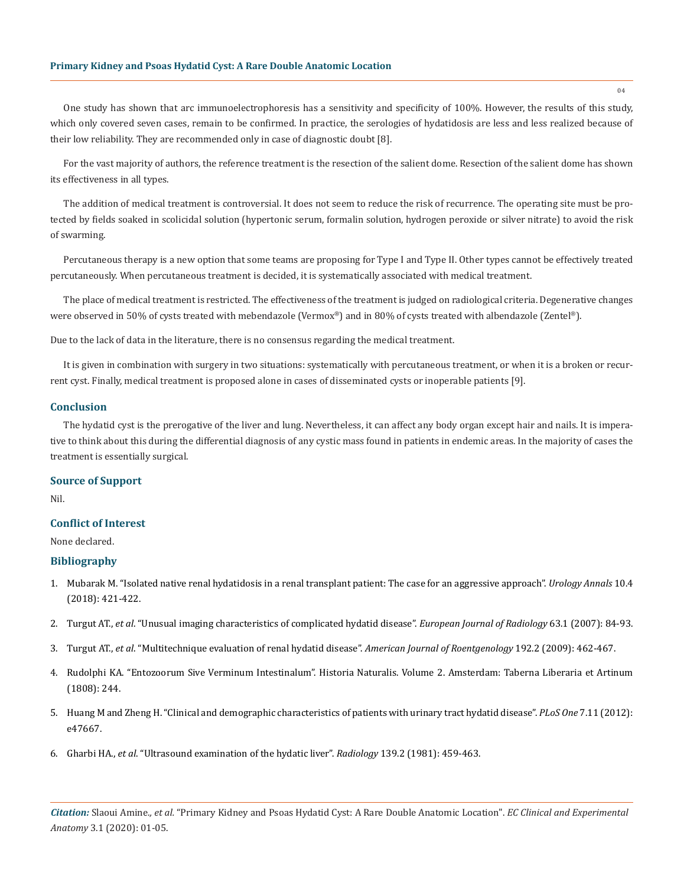#### **Primary Kidney and Psoas Hydatid Cyst: A Rare Double Anatomic Location**

One study has shown that arc immunoelectrophoresis has a sensitivity and specificity of 100%. However, the results of this study, which only covered seven cases, remain to be confirmed. In practice, the serologies of hydatidosis are less and less realized because of their low reliability. They are recommended only in case of diagnostic doubt [8].

For the vast majority of authors, the reference treatment is the resection of the salient dome. Resection of the salient dome has shown its effectiveness in all types.

The addition of medical treatment is controversial. It does not seem to reduce the risk of recurrence. The operating site must be protected by fields soaked in scolicidal solution (hypertonic serum, formalin solution, hydrogen peroxide or silver nitrate) to avoid the risk of swarming.

Percutaneous therapy is a new option that some teams are proposing for Type I and Type II. Other types cannot be effectively treated percutaneously. When percutaneous treatment is decided, it is systematically associated with medical treatment.

The place of medical treatment is restricted. The effectiveness of the treatment is judged on radiological criteria. Degenerative changes were observed in 50% of cysts treated with mebendazole (Vermox®) and in 80% of cysts treated with albendazole (Zentel®).

Due to the lack of data in the literature, there is no consensus regarding the medical treatment.

It is given in combination with surgery in two situations: systematically with percutaneous treatment, or when it is a broken or recurrent cyst. Finally, medical treatment is proposed alone in cases of disseminated cysts or inoperable patients [9].

#### **Conclusion**

The hydatid cyst is the prerogative of the liver and lung. Nevertheless, it can affect any body organ except hair and nails. It is imperative to think about this during the differential diagnosis of any cystic mass found in patients in endemic areas. In the majority of cases the treatment is essentially surgical.

#### **Source of Support**

Nil.

### **Conflict of Interest**

None declared.

#### **Bibliography**

- 1. [Mubarak M. "Isolated native renal hydatidosis in a renal transplant patient: The case for an aggressive approach".](https://www.ncbi.nlm.nih.gov/pmc/articles/PMC6194783/) *Urology Annals* 10.4 [\(2018\): 421-422.](https://www.ncbi.nlm.nih.gov/pmc/articles/PMC6194783/)
- 2. Turgut AT., *et al*[. "Unusual imaging characteristics of complicated hydatid disease".](https://www.ncbi.nlm.nih.gov/pubmed/17275238) *European Journal of Radiology* 63.1 (2007): 84-93.
- 3. Turgut AT., *et al*[. "Multitechnique evaluation of renal hydatid disease".](https://www.ncbi.nlm.nih.gov/pubmed/19155411) *American Journal of Roentgenology* 192.2 (2009): 462-467.
- 4. Rudolphi KA. "Entozoorum Sive Verminum Intestinalum". Historia Naturalis. Volume 2. Amsterdam: Taberna Liberaria et Artinum (1808): 244.
- 5. [Huang M and Zheng H. "Clinical and demographic characteristics of patients with urinary tract hydatid disease".](https://www.ncbi.nlm.nih.gov/pmc/articles/PMC3487722/) *PLoS One* 7.11 (2012): [e47667.](https://www.ncbi.nlm.nih.gov/pmc/articles/PMC3487722/)
- 6. Gharbi HA., *et al*[. "Ultrasound examination of the hydatic liver".](https://www.ncbi.nlm.nih.gov/pubmed/7220891) *Radiology* 139.2 (1981): 459-463.

*Citation:* Slaoui Amine*., et al.* "Primary Kidney and Psoas Hydatid Cyst: A Rare Double Anatomic Location". *EC Clinical and Experimental Anatomy* 3.1 (2020): 01-05.

04